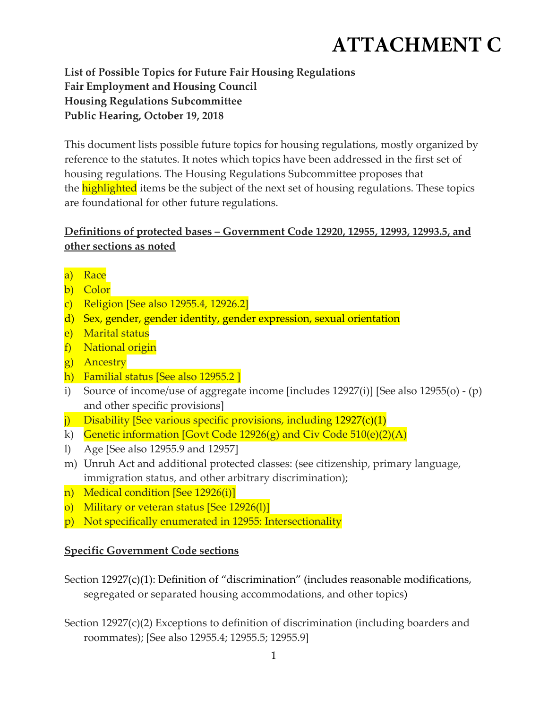## **ATTACHMENT C**

**List of Possible Topics for Future Fair Housing Regulations Fair Employment and Housing Council Housing Regulations Subcommittee Public Hearing, October 19, 2018**

This document lists possible future topics for housing regulations, mostly organized by reference to the statutes. It notes which topics have been addressed in the first set of housing regulations. The Housing Regulations Subcommittee proposes that the **highlighted** items be the subject of the next set of housing regulations. These topics are foundational for other future regulations.

## **Definitions of protected bases – Government Code 12920, 12955, 12993, 12993.5, and other sections as noted**

- a) Race
- b) Color
- c) Religion [See also 12955.4, 12926.2]
- d) Sex, gender, gender identity, gender expression, sexual orientation
- e) Marital status
- f) National origin
- g) Ancestry
- h) Familial status [See also 12955.2 ]
- i) Source of income/use of aggregate income [includes 12927(i)] [See also 12955(o) ‐ (p) and other specific provisions]
- j) Disability [See various specific provisions, including  $12927(c)(1)$
- k) Genetic information [Govt Code 12926(g) and Civ Code  $510(e)(2)(A)$
- l) Age [See also 12955.9 and 12957]
- m) Unruh Act and additional protected classes: (see citizenship, primary language, immigration status, and other arbitrary discrimination);
- n) Medical condition [See 12926(i)]
- o) Military or veteran status [See 12926(l)]
- p) Not specifically enumerated in 12955: Intersectionality

## **Specific Government Code sections**

Section 12927(c)(1): Definition of "discrimination" (includes reasonable modifications, segregated or separated housing accommodations, and other topics)

Section 12927(c)(2) Exceptions to definition of discrimination (including boarders and roommates); [See also 12955.4; 12955.5; 12955.9]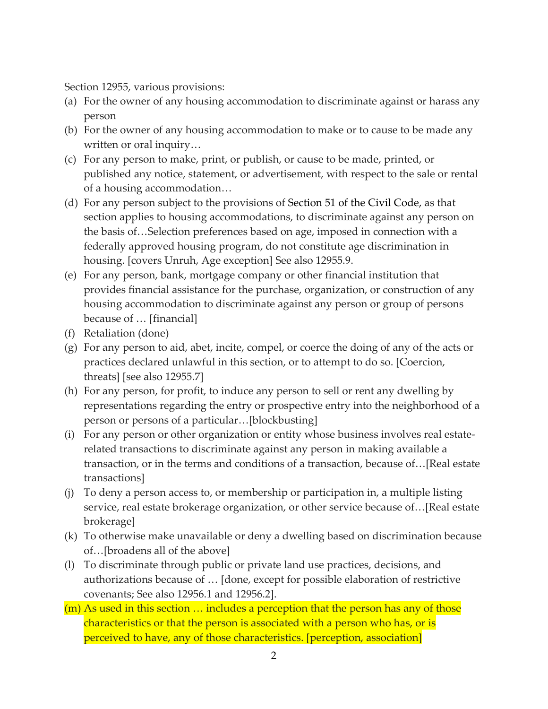Section 12955, various provisions:

- (a) For the owner of any housing accommodation to discriminate against or harass any person
- (b) For the owner of any housing accommodation to make or to cause to be made any written or oral inquiry…
- (c) For any person to make, print, or publish, or cause to be made, printed, or published any notice, statement, or advertisement, with respect to the sale or rental of a housing accommodation…
- (d) For any person subject to the provisions of Section 51 of the Civil Code, as that section applies to housing accommodations, to discriminate against any person on the basis of…Selection preferences based on age, imposed in connection with a federally approved housing program, do not constitute age discrimination in housing. [covers Unruh, Age exception] See also 12955.9.
- (e) For any person, bank, mortgage company or other financial institution that provides financial assistance for the purchase, organization, or construction of any housing accommodation to discriminate against any person or group of persons because of … [financial]
- (f) Retaliation (done)
- (g) For any person to aid, abet, incite, compel, or coerce the doing of any of the acts or practices declared unlawful in this section, or to attempt to do so. [Coercion, threats] [see also 12955.7]
- (h) For any person, for profit, to induce any person to sell or rent any dwelling by representations regarding the entry or prospective entry into the neighborhood of a person or persons of a particular…[blockbusting]
- (i) For any person or other organization or entity whose business involves real estate‐ related transactions to discriminate against any person in making available a transaction, or in the terms and conditions of a transaction, because of…[Real estate transactions]
- (j) To deny a person access to, or membership or participation in, a multiple listing service, real estate brokerage organization, or other service because of…[Real estate brokerage]
- (k) To otherwise make unavailable or deny a dwelling based on discrimination because of…[broadens all of the above]
- (l) To discriminate through public or private land use practices, decisions, and authorizations because of … [done, except for possible elaboration of restrictive covenants; See also 12956.1 and 12956.2].
- (m) As used in this section … includes a perception that the person has any of those characteristics or that the person is associated with a person who has, or is perceived to have, any of those characteristics. [perception, association]